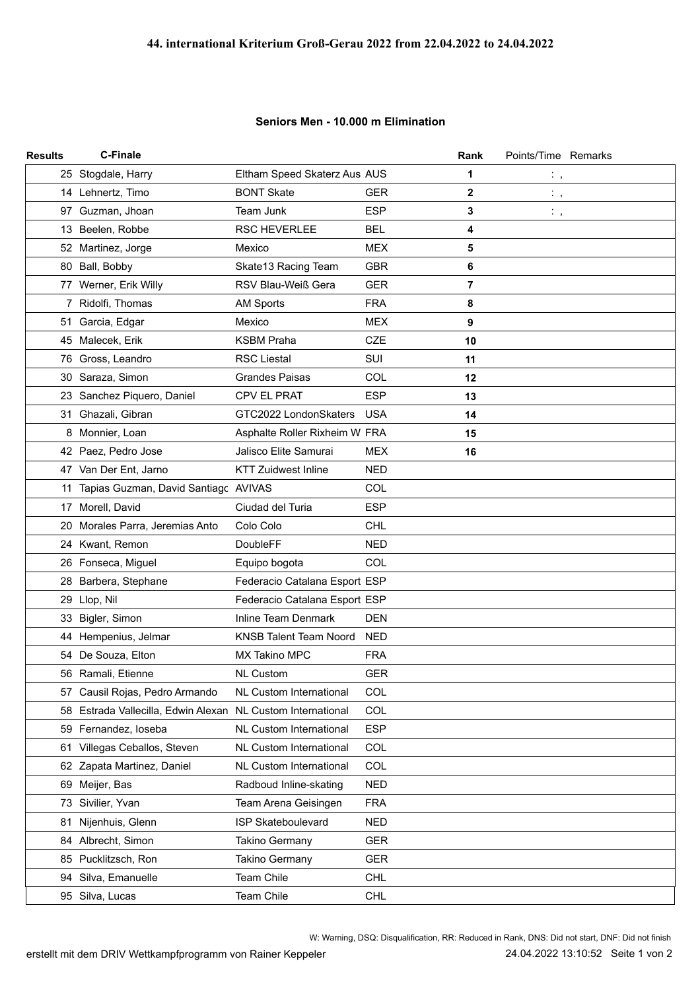## **Seniors Men - 10.000 m Elimination**

| <b>Results</b> | <b>C-Finale</b>                                             |                                |            | Rank | Points/Time Remarks    |  |
|----------------|-------------------------------------------------------------|--------------------------------|------------|------|------------------------|--|
|                | 25 Stogdale, Harry                                          | Eltham Speed Skaterz Aus AUS   |            | 1    | $\mathbb{C}$ ,         |  |
|                | 14 Lehnertz, Timo                                           | <b>BONT Skate</b>              | <b>GER</b> | 2    | $\ddot{\phantom{0}}$ , |  |
|                | 97 Guzman, Jhoan                                            | Team Junk                      | <b>ESP</b> | 3    | $\mathbb{Z}_{\geq 0}$  |  |
|                | 13 Beelen, Robbe                                            | RSC HEVERLEE                   | <b>BEL</b> | 4    |                        |  |
|                | 52 Martinez, Jorge                                          | Mexico                         | <b>MEX</b> | 5    |                        |  |
|                | 80 Ball, Bobby                                              | Skate13 Racing Team            | <b>GBR</b> | 6    |                        |  |
|                | 77 Werner, Erik Willy                                       | RSV Blau-Weiß Gera             | <b>GER</b> | 7    |                        |  |
|                | 7 Ridolfi, Thomas                                           | <b>AM Sports</b>               | <b>FRA</b> | 8    |                        |  |
|                | 51 Garcia, Edgar                                            | Mexico                         | <b>MEX</b> | 9    |                        |  |
|                | 45 Malecek, Erik                                            | <b>KSBM Praha</b>              | <b>CZE</b> | 10   |                        |  |
|                | 76 Gross, Leandro                                           | <b>RSC Liestal</b>             | SUI        | 11   |                        |  |
|                | 30 Saraza, Simon                                            | <b>Grandes Paisas</b>          | COL        | 12   |                        |  |
|                | 23 Sanchez Piquero, Daniel                                  | <b>CPV EL PRAT</b>             | <b>ESP</b> | 13   |                        |  |
|                | 31 Ghazali, Gibran                                          | GTC2022 LondonSkaters          | <b>USA</b> | 14   |                        |  |
|                | 8 Monnier, Loan                                             | Asphalte Roller Rixheim W FRA  |            | 15   |                        |  |
|                | 42 Paez, Pedro Jose                                         | Jalisco Elite Samurai          | <b>MEX</b> | 16   |                        |  |
|                | 47 Van Der Ent, Jarno                                       | <b>KTT Zuidwest Inline</b>     | <b>NED</b> |      |                        |  |
| 11             | Tapias Guzman, David Santiagc AVIVAS                        |                                | COL        |      |                        |  |
|                | 17 Morell, David                                            | Ciudad del Turia               | <b>ESP</b> |      |                        |  |
| 20             | Morales Parra, Jeremias Anto                                | Colo Colo                      | <b>CHL</b> |      |                        |  |
|                | 24 Kwant, Remon                                             | <b>DoubleFF</b>                | <b>NED</b> |      |                        |  |
|                | 26 Fonseca, Miguel                                          | Equipo bogota                  | COL        |      |                        |  |
|                | 28 Barbera, Stephane                                        | Federacio Catalana Esport ESP  |            |      |                        |  |
|                | 29 Llop, Nil                                                | Federacio Catalana Esport ESP  |            |      |                        |  |
|                | 33 Bigler, Simon                                            | <b>Inline Team Denmark</b>     | <b>DEN</b> |      |                        |  |
|                | 44 Hempenius, Jelmar                                        | <b>KNSB Talent Team Noord</b>  | <b>NED</b> |      |                        |  |
|                | 54 De Souza, Elton                                          | MX Takino MPC                  | <b>FRA</b> |      |                        |  |
|                | 56 Ramali, Etienne                                          | <b>NL Custom</b>               | <b>GER</b> |      |                        |  |
|                | 57 Causil Rojas, Pedro Armando                              | NL Custom International        | COL        |      |                        |  |
|                | 58 Estrada Vallecilla, Edwin Alexan NL Custom International |                                | <b>COL</b> |      |                        |  |
|                | 59 Fernandez, loseba                                        | NL Custom International        | <b>ESP</b> |      |                        |  |
|                | 61 Villegas Ceballos, Steven                                | <b>NL Custom International</b> | COL        |      |                        |  |
|                | 62 Zapata Martinez, Daniel                                  | NL Custom International        | COL        |      |                        |  |
|                | 69 Meijer, Bas                                              | Radboud Inline-skating         | <b>NED</b> |      |                        |  |
|                | 73 Sivilier, Yvan                                           | Team Arena Geisingen           | <b>FRA</b> |      |                        |  |
| 81             | Nijenhuis, Glenn                                            | <b>ISP Skateboulevard</b>      | <b>NED</b> |      |                        |  |
|                | 84 Albrecht, Simon                                          | <b>Takino Germany</b>          | <b>GER</b> |      |                        |  |
|                | 85 Pucklitzsch, Ron                                         | <b>Takino Germany</b>          | <b>GER</b> |      |                        |  |
|                | 94 Silva, Emanuelle                                         | Team Chile                     | <b>CHL</b> |      |                        |  |
|                | 95 Silva, Lucas                                             | Team Chile                     | <b>CHL</b> |      |                        |  |